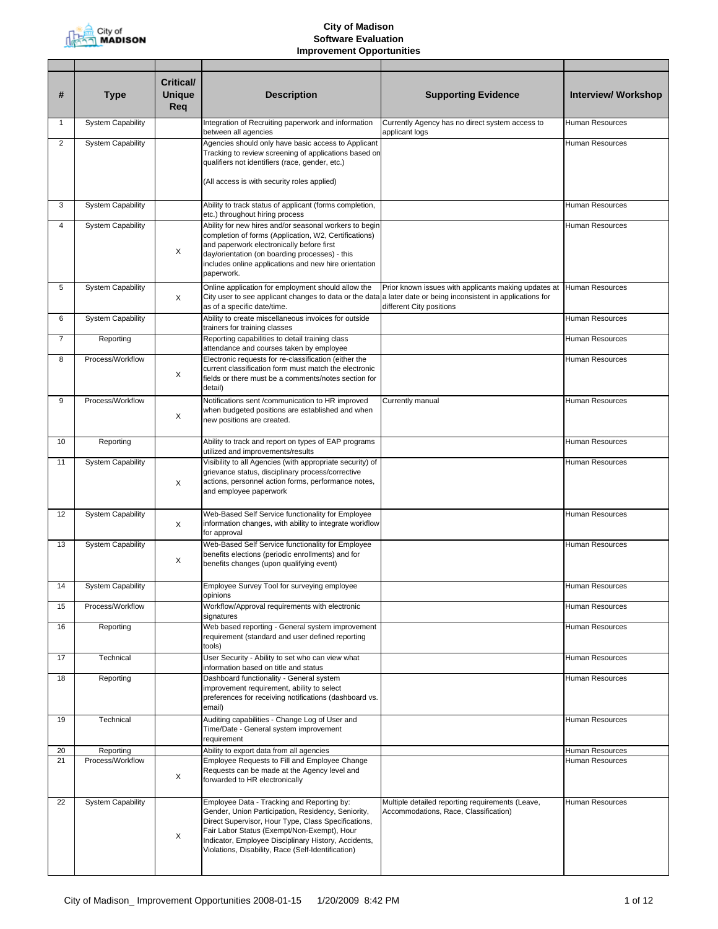

| #            | <b>Type</b>              | <b>Critical/</b><br><b>Unique</b><br>Req | <b>Description</b>                                                                                                                                                                                                                                                                                                   | <b>Supporting Evidence</b>                                                                       | <b>Interview/ Workshop</b> |
|--------------|--------------------------|------------------------------------------|----------------------------------------------------------------------------------------------------------------------------------------------------------------------------------------------------------------------------------------------------------------------------------------------------------------------|--------------------------------------------------------------------------------------------------|----------------------------|
| $\mathbf{1}$ | <b>System Capability</b> |                                          | Integration of Recruiting paperwork and information<br>between all agencies                                                                                                                                                                                                                                          | Currently Agency has no direct system access to<br>applicant logs                                | <b>Human Resources</b>     |
| 2            | <b>System Capability</b> |                                          | Agencies should only have basic access to Applicant<br>Tracking to review screening of applications based on<br>qualifiers not identifiers (race, gender, etc.)<br>(All access is with security roles applied)                                                                                                       |                                                                                                  | Human Resources            |
| 3            | <b>System Capability</b> |                                          | Ability to track status of applicant (forms completion,                                                                                                                                                                                                                                                              |                                                                                                  | <b>Human Resources</b>     |
|              |                          |                                          | etc.) throughout hiring process                                                                                                                                                                                                                                                                                      |                                                                                                  |                            |
| 4            | <b>System Capability</b> | X                                        | Ability for new hires and/or seasonal workers to begin<br>completion of forms (Application, W2, Certifications)<br>and paperwork electronically before first<br>day/orientation (on boarding processes) - this<br>includes online applications and new hire orientation<br>paperwork.                                |                                                                                                  | Human Resources            |
| 5            | <b>System Capability</b> | X                                        | Online application for employment should allow the<br>City user to see applicant changes to data or the data a later date or being inconsistent in applications for<br>as of a specific date/time.                                                                                                                   | Prior known issues with applicants making updates at Human Resources<br>different City positions |                            |
| 6            | <b>System Capability</b> |                                          | Ability to create miscellaneous invoices for outside<br>trainers for training classes                                                                                                                                                                                                                                |                                                                                                  | <b>Human Resources</b>     |
| 7            | Reporting                |                                          | Reporting capabilities to detail training class<br>attendance and courses taken by employee                                                                                                                                                                                                                          |                                                                                                  | <b>Human Resources</b>     |
| 8            | Process/Workflow         | Χ                                        | Electronic requests for re-classification (either the<br>current classification form must match the electronic<br>fields or there must be a comments/notes section for<br>detail)                                                                                                                                    |                                                                                                  | Human Resources            |
| 9            | Process/Workflow         | X                                        | Notifications sent /communication to HR improved<br>when budgeted positions are established and when<br>new positions are created.                                                                                                                                                                                   | Currently manual                                                                                 | Human Resources            |
| 10           | Reporting                |                                          | Ability to track and report on types of EAP programs<br>utilized and improvements/results                                                                                                                                                                                                                            |                                                                                                  | <b>Human Resources</b>     |
| 11           | <b>System Capability</b> | X                                        | Visibility to all Agencies (with appropriate security) of<br>grievance status, disciplinary process/corrective<br>actions, personnel action forms, performance notes,<br>and employee paperwork                                                                                                                      |                                                                                                  | Human Resources            |
| 12           | <b>System Capability</b> | X                                        | Web-Based Self Service functionality for Employee<br>information changes, with ability to integrate workflow<br>for approval                                                                                                                                                                                         |                                                                                                  | <b>Human Resources</b>     |
| 13           | <b>System Capability</b> | Χ                                        | Web-Based Self Service functionality for Employee<br>benefits elections (periodic enrollments) and for<br>benefits changes (upon qualifying event)                                                                                                                                                                   |                                                                                                  | Human Resources            |
| 14           | System Capability        |                                          | Employee Survey Tool for surveying employee<br>opinions                                                                                                                                                                                                                                                              |                                                                                                  | Human Resources            |
| 15           | Process/Workflow         |                                          | Workflow/Approval requirements with electronic<br>signatures                                                                                                                                                                                                                                                         |                                                                                                  | Human Resources            |
| 16           | Reporting                |                                          | Web based reporting - General system improvement<br>requirement (standard and user defined reporting<br>tools)                                                                                                                                                                                                       |                                                                                                  | <b>Human Resources</b>     |
| 17           | Technical                |                                          | User Security - Ability to set who can view what<br>information based on title and status                                                                                                                                                                                                                            |                                                                                                  | <b>Human Resources</b>     |
| 18           | Reporting                |                                          | Dashboard functionality - General system<br>improvement requirement, ability to select<br>preferences for receiving notifications (dashboard vs.<br>email)                                                                                                                                                           |                                                                                                  | Human Resources            |
| 19           | Technical                |                                          | Auditing capabilities - Change Log of User and<br>Time/Date - General system improvement<br>requirement                                                                                                                                                                                                              |                                                                                                  | Human Resources            |
| 20           | Reporting                |                                          | Ability to export data from all agencies                                                                                                                                                                                                                                                                             |                                                                                                  | Human Resources            |
| 21           | Process/Workflow         | X                                        | Employee Requests to Fill and Employee Change<br>Requests can be made at the Agency level and<br>forwarded to HR electronically                                                                                                                                                                                      |                                                                                                  | Human Resources            |
| 22           | <b>System Capability</b> | X                                        | Employee Data - Tracking and Reporting by:<br>Gender, Union Participation, Residency, Seniority,<br>Direct Supervisor, Hour Type, Class Specifications,<br>Fair Labor Status (Exempt/Non-Exempt), Hour<br>Indicator, Employee Disciplinary History, Accidents,<br>Violations, Disability, Race (Self-Identification) | Multiple detailed reporting requirements (Leave,<br>Accommodations, Race, Classification)        | Human Resources            |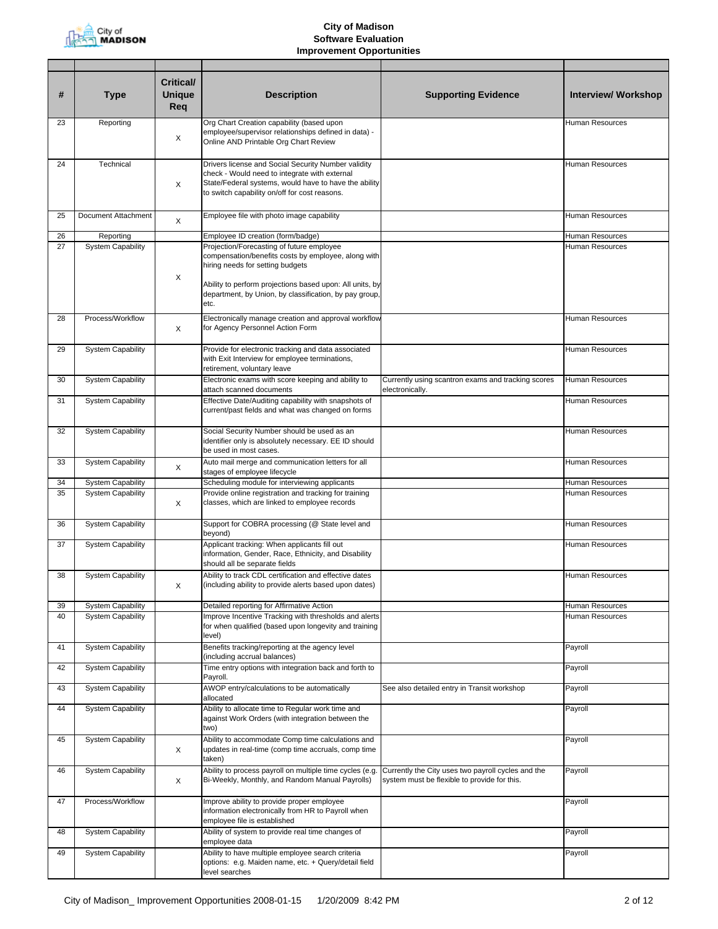

| #  | <b>Type</b>              | <b>Critical/</b><br><b>Unique</b><br>Req | <b>Description</b>                                                                                                                                                                                                                                         | <b>Supporting Evidence</b>                                                                         | <b>Interview/ Workshop</b> |
|----|--------------------------|------------------------------------------|------------------------------------------------------------------------------------------------------------------------------------------------------------------------------------------------------------------------------------------------------------|----------------------------------------------------------------------------------------------------|----------------------------|
| 23 | Reporting                | X                                        | Org Chart Creation capability (based upon<br>employee/supervisor relationships defined in data) -<br>Online AND Printable Org Chart Review                                                                                                                 |                                                                                                    | Human Resources            |
| 24 | Technical                | X                                        | Drivers license and Social Security Number validity<br>check - Would need to integrate with external<br>State/Federal systems, would have to have the ability<br>to switch capability on/off for cost reasons.                                             |                                                                                                    | <b>Human Resources</b>     |
| 25 | Document Attachment      | X                                        | Employee file with photo image capability                                                                                                                                                                                                                  |                                                                                                    | <b>Human Resources</b>     |
| 26 | Reporting                |                                          | Employee ID creation (form/badge)                                                                                                                                                                                                                          |                                                                                                    | Human Resources            |
| 27 | <b>System Capability</b> | Χ                                        | Projection/Forecasting of future employee<br>compensation/benefits costs by employee, along with<br>hiring needs for setting budgets<br>Ability to perform projections based upon: All units, by<br>department, by Union, by classification, by pay group, |                                                                                                    | Human Resources            |
| 28 | Process/Workflow         | X                                        | etc.<br>Electronically manage creation and approval workflow<br>for Agency Personnel Action Form                                                                                                                                                           |                                                                                                    | Human Resources            |
| 29 | <b>System Capability</b> |                                          | Provide for electronic tracking and data associated<br>with Exit Interview for employee terminations,<br>retirement, voluntary leave                                                                                                                       |                                                                                                    | Human Resources            |
| 30 | <b>System Capability</b> |                                          | Electronic exams with score keeping and ability to<br>attach scanned documents                                                                                                                                                                             | Currently using scantron exams and tracking scores<br>electronically.                              | Human Resources            |
| 31 | <b>System Capability</b> |                                          | Effective Date/Auditing capability with snapshots of<br>current/past fields and what was changed on forms                                                                                                                                                  |                                                                                                    | <b>Human Resources</b>     |
| 32 | <b>System Capability</b> |                                          | Social Security Number should be used as an<br>identifier only is absolutely necessary. EE ID should<br>be used in most cases.                                                                                                                             |                                                                                                    | <b>Human Resources</b>     |
| 33 | <b>System Capability</b> | X                                        | Auto mail merge and communication letters for all<br>stages of employee lifecycle                                                                                                                                                                          |                                                                                                    | Human Resources            |
| 34 | <b>System Capability</b> |                                          | Scheduling module for interviewing applicants                                                                                                                                                                                                              |                                                                                                    | Human Resources            |
| 35 | <b>System Capability</b> | X                                        | Provide online registration and tracking for training<br>classes, which are linked to employee records                                                                                                                                                     |                                                                                                    | Human Resources            |
| 36 | <b>System Capability</b> |                                          | Support for COBRA processing (@ State level and<br>beyond)                                                                                                                                                                                                 |                                                                                                    | Human Resources            |
| 37 | <b>System Capability</b> |                                          | Applicant tracking: When applicants fill out<br>information, Gender, Race, Ethnicity, and Disability<br>should all be separate fields                                                                                                                      |                                                                                                    | Human Resources            |
| 38 | <b>System Capability</b> |                                          | Ability to track CDL certification and effective dates<br>(including ability to provide alerts based upon dates)                                                                                                                                           |                                                                                                    | Human Resources            |
| 39 | <b>System Capability</b> |                                          | Detailed reporting for Affirmative Action                                                                                                                                                                                                                  |                                                                                                    | Human Resources            |
| 40 | <b>System Capability</b> |                                          | Improve Incentive Tracking with thresholds and alerts<br>for when qualified (based upon longevity and training<br>level)                                                                                                                                   |                                                                                                    | Human Resources            |
| 41 | <b>System Capability</b> |                                          | Benefits tracking/reporting at the agency level<br>(including accrual balances)                                                                                                                                                                            |                                                                                                    | Payroll                    |
| 42 | <b>System Capability</b> |                                          | Time entry options with integration back and forth to<br>Payroll.                                                                                                                                                                                          |                                                                                                    | Payroll                    |
| 43 | <b>System Capability</b> |                                          | AWOP entry/calculations to be automatically<br>allocated                                                                                                                                                                                                   | See also detailed entry in Transit workshop                                                        | Payroll                    |
| 44 | <b>System Capability</b> |                                          | Ability to allocate time to Regular work time and<br>against Work Orders (with integration between the<br>two)                                                                                                                                             |                                                                                                    | Payroll                    |
| 45 | <b>System Capability</b> | Х                                        | Ability to accommodate Comp time calculations and<br>updates in real-time (comp time accruals, comp time<br>taken)                                                                                                                                         |                                                                                                    | Payroll                    |
| 46 | <b>System Capability</b> | X                                        | Ability to process payroll on multiple time cycles (e.g.<br>Bi-Weekly, Monthly, and Random Manual Payrolls)                                                                                                                                                | Currently the City uses two payroll cycles and the<br>system must be flexible to provide for this. | Payroll                    |
| 47 | Process/Workflow         |                                          | Improve ability to provide proper employee<br>information electronically from HR to Payroll when<br>employee file is established                                                                                                                           |                                                                                                    | Payroll                    |
| 48 | <b>System Capability</b> |                                          | Ability of system to provide real time changes of<br>employee data                                                                                                                                                                                         |                                                                                                    | Payroll                    |
| 49 | <b>System Capability</b> |                                          | Ability to have multiple employee search criteria<br>options: e.g. Maiden name, etc. + Query/detail field<br>level searches                                                                                                                                |                                                                                                    | Payroll                    |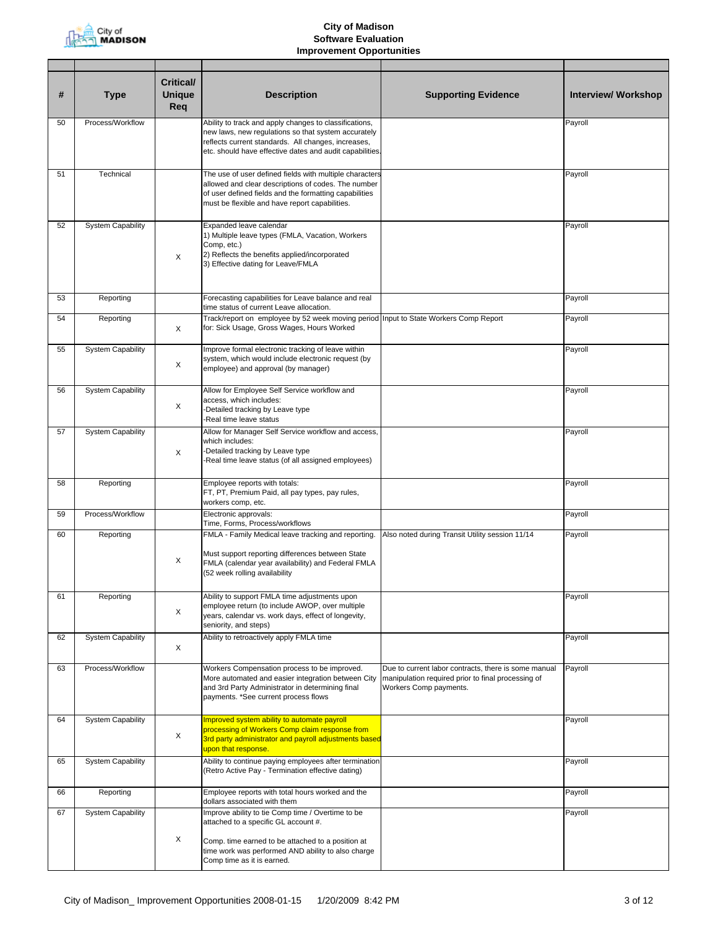

| #  | <b>Type</b>              | <b>Critical/</b><br><b>Unique</b><br>Req | <b>Description</b>                                                                                                                                                                                                               | <b>Supporting Evidence</b>                                                                                                           | Interview/ Workshop |
|----|--------------------------|------------------------------------------|----------------------------------------------------------------------------------------------------------------------------------------------------------------------------------------------------------------------------------|--------------------------------------------------------------------------------------------------------------------------------------|---------------------|
| 50 | Process/Workflow         |                                          | Ability to track and apply changes to classifications,<br>new laws, new regulations so that system accurately<br>reflects current standards. All changes, increases,<br>etc. should have effective dates and audit capabilities. |                                                                                                                                      | Payroll             |
| 51 | Technical                |                                          | The use of user defined fields with multiple characters<br>allowed and clear descriptions of codes. The number<br>of user defined fields and the formatting capabilities<br>must be flexible and have report capabilities.       |                                                                                                                                      | Payroll             |
| 52 | <b>System Capability</b> | X                                        | Expanded leave calendar<br>1) Multiple leave types (FMLA, Vacation, Workers<br>Comp, etc.)<br>2) Reflects the benefits applied/incorporated<br>3) Effective dating for Leave/FMLA                                                |                                                                                                                                      | Payroll             |
| 53 | Reporting                |                                          | Forecasting capabilities for Leave balance and real<br>time status of current Leave allocation.                                                                                                                                  |                                                                                                                                      | Payroll             |
| 54 | Reporting                | X                                        | Track/report on employee by 52 week moving period Input to State Workers Comp Report<br>for: Sick Usage, Gross Wages, Hours Worked                                                                                               |                                                                                                                                      | Payroll             |
| 55 | <b>System Capability</b> | X                                        | Improve formal electronic tracking of leave within<br>system, which would include electronic request (by<br>employee) and approval (by manager)                                                                                  |                                                                                                                                      | Payroll             |
| 56 | <b>System Capability</b> | X                                        | Allow for Employee Self Service workflow and<br>access, which includes:<br>-Detailed tracking by Leave type<br>-Real time leave status                                                                                           |                                                                                                                                      | Payroll             |
| 57 | <b>System Capability</b> | X                                        | Allow for Manager Self Service workflow and access,<br>which includes:<br>-Detailed tracking by Leave type<br>-Real time leave status (of all assigned employees)                                                                |                                                                                                                                      | Payroll             |
| 58 | Reporting                |                                          | Employee reports with totals:<br>FT, PT, Premium Paid, all pay types, pay rules,<br>workers comp, etc.                                                                                                                           |                                                                                                                                      | Payroll             |
| 59 | Process/Workflow         |                                          | Electronic approvals:<br>Time, Forms, Process/workflows                                                                                                                                                                          |                                                                                                                                      | Payroll             |
| 60 | Reporting                | X                                        | FMLA - Family Medical leave tracking and reporting.<br>Must support reporting differences between State<br>FMLA (calendar year availability) and Federal FMLA<br>(52 week rolling availability                                   | Also noted during Transit Utility session 11/14                                                                                      | Payroll             |
| 61 | Reporting                | X                                        | Ability to support FMLA time adjustments upon<br>employee return (to include AWOP, over multiple<br>years, calendar vs. work days, effect of longevity,<br>seniority, and steps)                                                 |                                                                                                                                      | Payroll             |
| 62 | <b>System Capability</b> | Χ                                        | Ability to retroactively apply FMLA time                                                                                                                                                                                         |                                                                                                                                      | Payroll             |
| 63 | Process/Workflow         |                                          | Workers Compensation process to be improved.<br>More automated and easier integration between City<br>and 3rd Party Administrator in determining final<br>payments. *See current process flows                                   | Due to current labor contracts, there is some manual<br>manipulation required prior to final processing of<br>Workers Comp payments. | Payroll             |
| 64 | <b>System Capability</b> | X                                        | Improved system ability to automate payroll<br>processing of Workers Comp claim response from<br>3rd party administrator and payroll adjustments based<br>upon that response.                                                    |                                                                                                                                      | Payroll             |
| 65 | <b>System Capability</b> |                                          | Ability to continue paying employees after termination<br>(Retro Active Pay - Termination effective dating)                                                                                                                      |                                                                                                                                      | Payroll             |
| 66 | Reporting                |                                          | Employee reports with total hours worked and the<br>dollars associated with them                                                                                                                                                 |                                                                                                                                      | Payroll             |
| 67 | <b>System Capability</b> |                                          | Improve ability to tie Comp time / Overtime to be<br>attached to a specific GL account #.                                                                                                                                        |                                                                                                                                      | Payroll             |
|    |                          | X                                        | Comp. time earned to be attached to a position at<br>time work was performed AND ability to also charge<br>Comp time as it is earned.                                                                                            |                                                                                                                                      |                     |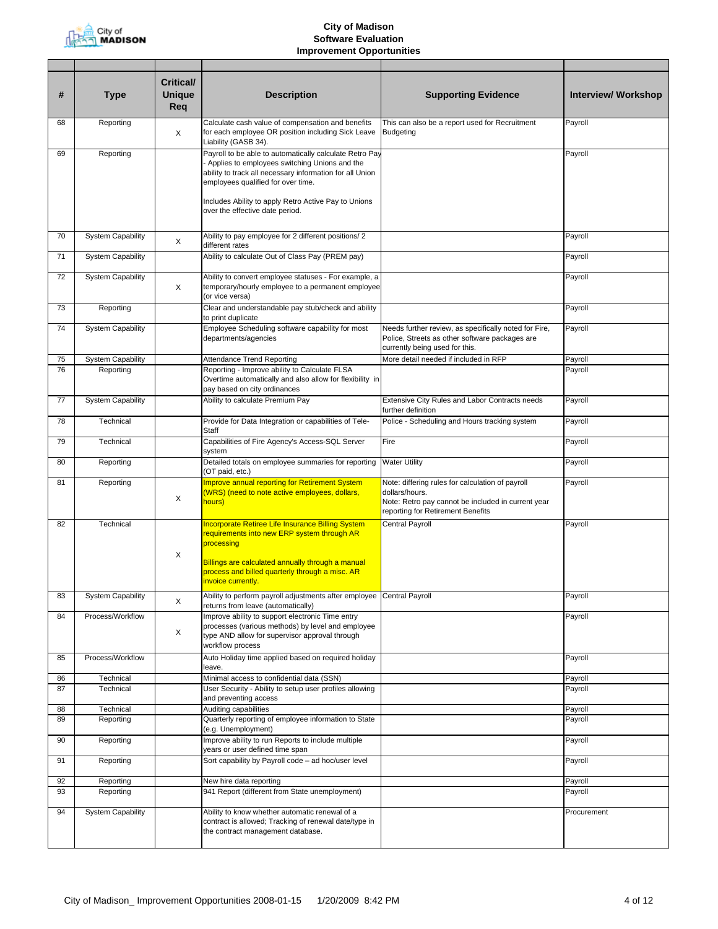

| #  | <b>Type</b>              | Critical/<br><b>Unique</b><br>Req | <b>Description</b>                                                                                                                                                                                                                                                                                    | <b>Supporting Evidence</b>                                                                                                                                    | <b>Interview/ Workshop</b> |
|----|--------------------------|-----------------------------------|-------------------------------------------------------------------------------------------------------------------------------------------------------------------------------------------------------------------------------------------------------------------------------------------------------|---------------------------------------------------------------------------------------------------------------------------------------------------------------|----------------------------|
| 68 | Reporting                | Χ                                 | Calculate cash value of compensation and benefits<br>for each employee OR position including Sick Leave<br>Liability (GASB 34).                                                                                                                                                                       | This can also be a report used for Recruitment<br><b>Budgeting</b>                                                                                            | Payroll                    |
| 69 | Reporting                |                                   | Payroll to be able to automatically calculate Retro Pay<br>Applies to employees switching Unions and the<br>ability to track all necessary information for all Union<br>employees qualified for over time.<br>Includes Ability to apply Retro Active Pay to Unions<br>over the effective date period. |                                                                                                                                                               | Payroll                    |
| 70 | <b>System Capability</b> | X                                 | Ability to pay employee for 2 different positions/ 2<br>different rates                                                                                                                                                                                                                               |                                                                                                                                                               | Payroll                    |
| 71 | <b>System Capability</b> |                                   | Ability to calculate Out of Class Pay (PREM pay)                                                                                                                                                                                                                                                      |                                                                                                                                                               | Payroll                    |
| 72 | <b>System Capability</b> | X                                 | Ability to convert employee statuses - For example, a<br>temporary/hourly employee to a permanent employee<br>(or vice versa)                                                                                                                                                                         |                                                                                                                                                               | Payroll                    |
| 73 | Reporting                |                                   | Clear and understandable pay stub/check and ability<br>to print duplicate                                                                                                                                                                                                                             |                                                                                                                                                               | Payroll                    |
| 74 | <b>System Capability</b> |                                   | Employee Scheduling software capability for most<br>departments/agencies                                                                                                                                                                                                                              | Needs further review, as specifically noted for Fire,<br>Police, Streets as other software packages are<br>currently being used for this.                     | Payroll                    |
| 75 | <b>System Capability</b> |                                   | Attendance Trend Reporting                                                                                                                                                                                                                                                                            | More detail needed if included in RFP                                                                                                                         | Payroll                    |
| 76 | Reporting                |                                   | Reporting - Improve ability to Calculate FLSA<br>Overtime automatically and also allow for flexibility in<br>pay based on city ordinances                                                                                                                                                             |                                                                                                                                                               | Payroll                    |
| 77 | <b>System Capability</b> |                                   | Ability to calculate Premium Pay                                                                                                                                                                                                                                                                      | Extensive City Rules and Labor Contracts needs<br>further definition                                                                                          | Payroll                    |
| 78 | Technical                |                                   | Provide for Data Integration or capabilities of Tele-<br>Staff                                                                                                                                                                                                                                        | Police - Scheduling and Hours tracking system                                                                                                                 | Payroll                    |
| 79 | Technical                |                                   | Capabilities of Fire Agency's Access-SQL Server<br>system                                                                                                                                                                                                                                             | Fire                                                                                                                                                          | Payroll                    |
| 80 | Reporting                |                                   | Detailed totals on employee summaries for reporting<br>(OT paid, etc.)                                                                                                                                                                                                                                | <b>Water Utility</b>                                                                                                                                          | Payroll                    |
| 81 | Reporting                | X                                 | <b>Improve annual reporting for Retirement System</b><br>(WRS) (need to note active employees, dollars,<br>hours)                                                                                                                                                                                     | Note: differing rules for calculation of payroll<br>dollars/hours.<br>Note: Retro pay cannot be included in current year<br>reporting for Retirement Benefits | Payroll                    |
| 82 | Technical                | X                                 | Incorporate Retiree Life Insurance Billing System<br>requirements into new ERP system through AR<br>processing<br>Billings are calculated annually through a manual<br>process and billed quarterly through a misc. AR<br>invoice currently.                                                          | Central Payroll                                                                                                                                               | Payroll                    |
| 83 | <b>System Capability</b> | X                                 | Ability to perform payroll adjustments after employee Central Payroll<br>returns from leave (automatically)                                                                                                                                                                                           |                                                                                                                                                               | Payroll                    |
| 84 | Process/Workflow         | X                                 | mprove ability to support electronic Time entry<br>processes (various methods) by level and employee<br>type AND allow for supervisor approval through<br>workflow process                                                                                                                            |                                                                                                                                                               | Payroll                    |
| 85 | Process/Workflow         |                                   | Auto Holiday time applied based on required holiday<br>leave.                                                                                                                                                                                                                                         |                                                                                                                                                               | Payroll                    |
| 86 | Technical                |                                   | Minimal access to confidential data (SSN)                                                                                                                                                                                                                                                             |                                                                                                                                                               | Payroll                    |
| 87 | Technical                |                                   | User Security - Ability to setup user profiles allowing<br>and preventing access                                                                                                                                                                                                                      |                                                                                                                                                               | Payroll                    |
| 88 | Technical                |                                   | Auditing capabilities                                                                                                                                                                                                                                                                                 |                                                                                                                                                               | Payroll                    |
| 89 | Reporting                |                                   | Quarterly reporting of employee information to State<br>(e.g. Unemployment)                                                                                                                                                                                                                           |                                                                                                                                                               | Payroll                    |
| 90 | Reporting                |                                   | Improve ability to run Reports to include multiple<br>years or user defined time span                                                                                                                                                                                                                 |                                                                                                                                                               | Payroll                    |
| 91 | Reporting                |                                   | Sort capability by Payroll code - ad hoc/user level                                                                                                                                                                                                                                                   |                                                                                                                                                               | Payroll                    |
| 92 | Reporting                |                                   | New hire data reporting                                                                                                                                                                                                                                                                               |                                                                                                                                                               | Payroll                    |
| 93 | Reporting                |                                   | 941 Report (different from State unemployment)                                                                                                                                                                                                                                                        |                                                                                                                                                               | Payroll                    |
| 94 | <b>System Capability</b> |                                   | Ability to know whether automatic renewal of a<br>contract is allowed; Tracking of renewal date/type in<br>the contract management database.                                                                                                                                                          |                                                                                                                                                               | Procurement                |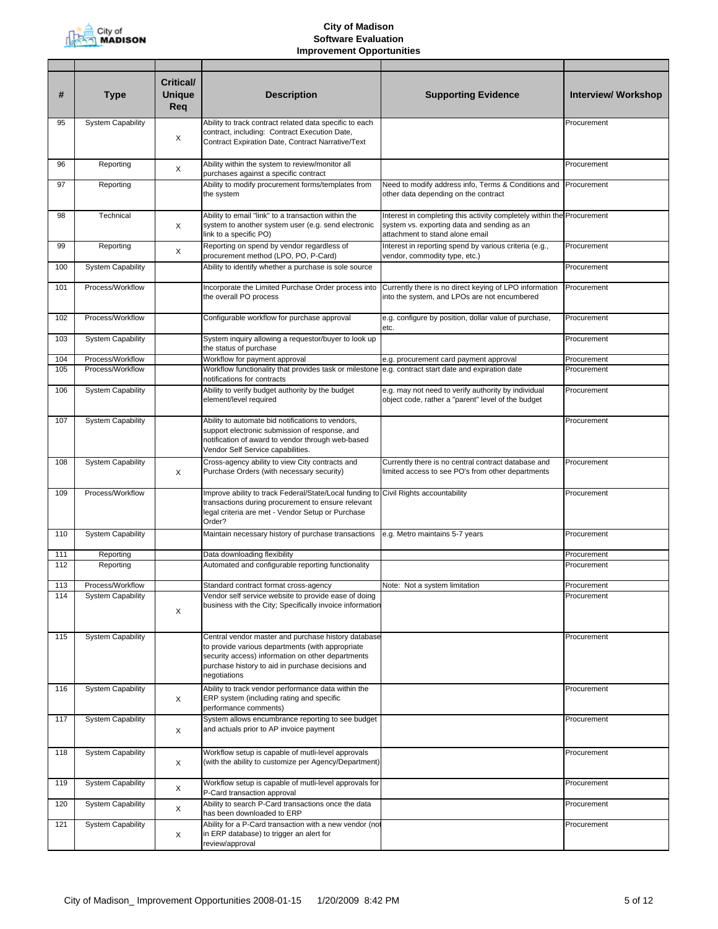

| #   | <b>Type</b>              | <b>Critical/</b><br><b>Unique</b><br>Req | <b>Description</b>                                                                                                                                                                                                                | <b>Supporting Evidence</b>                                                                                                                               | <b>Interview/ Workshop</b> |
|-----|--------------------------|------------------------------------------|-----------------------------------------------------------------------------------------------------------------------------------------------------------------------------------------------------------------------------------|----------------------------------------------------------------------------------------------------------------------------------------------------------|----------------------------|
| 95  | <b>System Capability</b> |                                          | Ability to track contract related data specific to each                                                                                                                                                                           |                                                                                                                                                          | Procurement                |
|     |                          | X                                        | contract, including: Contract Execution Date,<br>Contract Expiration Date, Contract Narrative/Text                                                                                                                                |                                                                                                                                                          |                            |
| 96  | Reporting                | X                                        | Ability within the system to review/monitor all<br>purchases against a specific contract                                                                                                                                          |                                                                                                                                                          | Procurement                |
| 97  | Reporting                |                                          | Ability to modify procurement forms/templates from<br>the system                                                                                                                                                                  | Need to modify address info, Terms & Conditions and Procurement<br>other data depending on the contract                                                  |                            |
| 98  | Technical                | X                                        | Ability to email "link" to a transaction within the<br>system to another system user (e.g. send electronic<br>link to a specific PO)                                                                                              | Interest in completing this activity completely within the Procurement<br>system vs. exporting data and sending as an<br>attachment to stand alone email |                            |
| 99  | Reporting                | X                                        | Reporting on spend by vendor regardless of<br>procurement method (LPO, PO, P-Card)                                                                                                                                                | Interest in reporting spend by various criteria (e.g.,<br>vendor, commodity type, etc.)                                                                  | Procurement                |
| 100 | <b>System Capability</b> |                                          | Ability to identify whether a purchase is sole source                                                                                                                                                                             |                                                                                                                                                          | Procurement                |
| 101 | Process/Workflow         |                                          | Incorporate the Limited Purchase Order process into<br>the overall PO process                                                                                                                                                     | Currently there is no direct keying of LPO information<br>into the system, and LPOs are not encumbered                                                   | Procurement                |
| 102 | Process/Workflow         |                                          | Configurable workflow for purchase approval                                                                                                                                                                                       | e.g. configure by position, dollar value of purchase,<br>etc.                                                                                            | Procurement                |
| 103 | <b>System Capability</b> |                                          | System inquiry allowing a requestor/buyer to look up<br>the status of purchase                                                                                                                                                    |                                                                                                                                                          | Procurement                |
| 104 | Process/Workflow         |                                          | Workflow for payment approval                                                                                                                                                                                                     | e.g. procurement card payment approval                                                                                                                   | Procurement                |
| 105 | Process/Workflow         |                                          | Workflow functionality that provides task or milestone<br>notifications for contracts                                                                                                                                             | e.g. contract start date and expiration date                                                                                                             | Procurement                |
| 106 | <b>System Capability</b> |                                          | Ability to verify budget authority by the budget<br>element/level required                                                                                                                                                        | e.g. may not need to verify authority by individual<br>object code, rather a "parent" level of the budget                                                | Procurement                |
| 107 | <b>System Capability</b> |                                          | Ability to automate bid notifications to vendors,<br>support electronic submission of response, and<br>notification of award to vendor through web-based<br>Vendor Self Service capabilities.                                     |                                                                                                                                                          | Procurement                |
| 108 | <b>System Capability</b> | X                                        | Cross-agency ability to view City contracts and<br>Purchase Orders (with necessary security)                                                                                                                                      | Currently there is no central contract database and<br>limited access to see PO's from other departments                                                 | Procurement                |
| 109 | Process/Workflow         |                                          | Improve ability to track Federal/State/Local funding to Civil Rights accountability<br>transactions during procurement to ensure relevant<br>legal criteria are met - Vendor Setup or Purchase<br>Order?                          |                                                                                                                                                          | Procurement                |
| 110 | <b>System Capability</b> |                                          | Maintain necessary history of purchase transactions                                                                                                                                                                               | e.g. Metro maintains 5-7 years                                                                                                                           | Procurement                |
| 111 | Reporting                |                                          | Data downloading flexibility                                                                                                                                                                                                      |                                                                                                                                                          | Procurement                |
| 112 | Reporting                |                                          | Automated and configurable reporting functionality                                                                                                                                                                                |                                                                                                                                                          | Procurement                |
| 113 | Process/Workflow         |                                          | Standard contract format cross-agency                                                                                                                                                                                             | Note: Not a system limitation                                                                                                                            | Procurement                |
| 114 | <b>System Capability</b> | X                                        | Vendor self service website to provide ease of doing<br>business with the City; Specifically invoice information                                                                                                                  |                                                                                                                                                          | Procurement                |
| 115 | <b>System Capability</b> |                                          | Central vendor master and purchase history database<br>to provide various departments (with appropriate<br>security access) information on other departments<br>purchase history to aid in purchase decisions and<br>negotiations |                                                                                                                                                          | Procurement                |
| 116 | <b>System Capability</b> | X                                        | Ability to track vendor performance data within the<br>ERP system (including rating and specific<br>performance comments)                                                                                                         |                                                                                                                                                          | Procurement                |
| 117 | <b>System Capability</b> | X                                        | System allows encumbrance reporting to see budget<br>and actuals prior to AP invoice payment                                                                                                                                      |                                                                                                                                                          | Procurement                |
| 118 | <b>System Capability</b> | X                                        | Workflow setup is capable of mutli-level approvals<br>(with the ability to customize per Agency/Department)                                                                                                                       |                                                                                                                                                          | Procurement                |
| 119 | <b>System Capability</b> | X                                        | Workflow setup is capable of mutli-level approvals for<br>P-Card transaction approval                                                                                                                                             |                                                                                                                                                          | Procurement                |
| 120 | <b>System Capability</b> | X                                        | Ability to search P-Card transactions once the data<br>has been downloaded to ERP                                                                                                                                                 |                                                                                                                                                          | Procurement                |
| 121 | <b>System Capability</b> | X                                        | Ability for a P-Card transaction with a new vendor (not<br>in ERP database) to trigger an alert for<br>review/approval                                                                                                            |                                                                                                                                                          | Procurement                |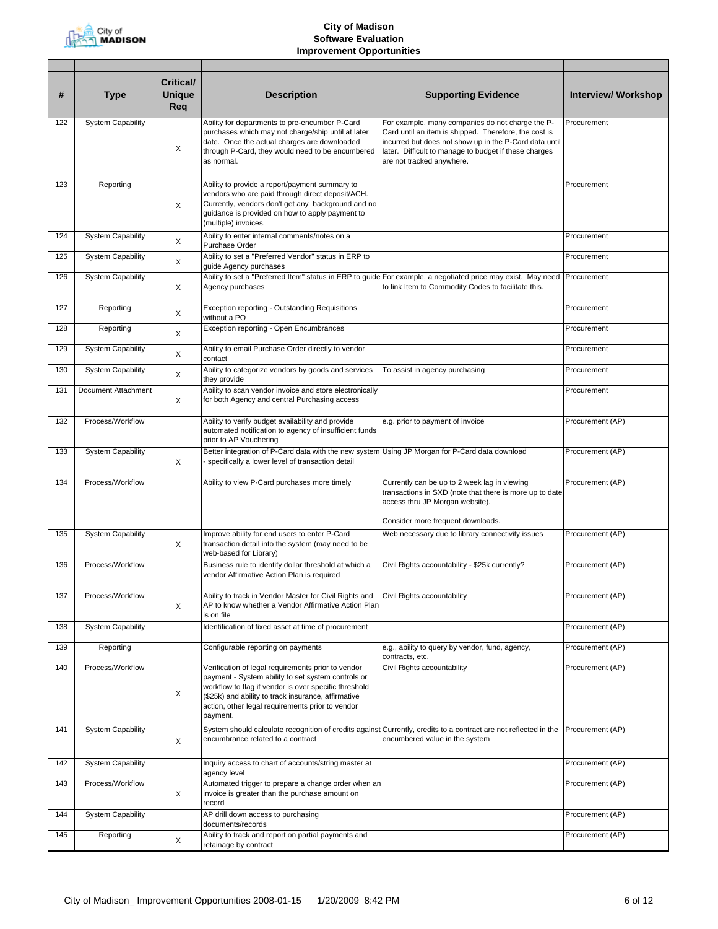

| #   | <b>Type</b>              | <b>Critical/</b><br><b>Unique</b><br>Req | <b>Description</b>                                                                                                                                                                                                                                                                       | <b>Supporting Evidence</b>                                                                                                                                                                                                                                | <b>Interview/ Workshop</b> |
|-----|--------------------------|------------------------------------------|------------------------------------------------------------------------------------------------------------------------------------------------------------------------------------------------------------------------------------------------------------------------------------------|-----------------------------------------------------------------------------------------------------------------------------------------------------------------------------------------------------------------------------------------------------------|----------------------------|
| 122 | <b>System Capability</b> | X                                        | Ability for departments to pre-encumber P-Card<br>purchases which may not charge/ship until at later<br>date. Once the actual charges are downloaded<br>through P-Card, they would need to be encumbered<br>as normal.                                                                   | For example, many companies do not charge the P-<br>Card until an item is shipped. Therefore, the cost is<br>incurred but does not show up in the P-Card data until<br>later. Difficult to manage to budget if these charges<br>are not tracked anywhere. | Procurement                |
| 123 | Reporting                | X                                        | Ability to provide a report/payment summary to<br>vendors who are paid through direct deposit/ACH.<br>Currently, vendors don't get any background and no<br>guidance is provided on how to apply payment to<br>(multiple) invoices.                                                      |                                                                                                                                                                                                                                                           | Procurement                |
| 124 | <b>System Capability</b> | $\times$                                 | Ability to enter internal comments/notes on a<br>Purchase Order                                                                                                                                                                                                                          |                                                                                                                                                                                                                                                           | Procurement                |
| 125 | <b>System Capability</b> | X                                        | Ability to set a "Preferred Vendor" status in ERP to<br>guide Agency purchases                                                                                                                                                                                                           |                                                                                                                                                                                                                                                           | Procurement                |
| 126 | <b>System Capability</b> | X                                        | Agency purchases                                                                                                                                                                                                                                                                         | Ability to set a "Preferred Item" status in ERP to guide For example, a negotiated price may exist. May need Procurement<br>to link Item to Commodity Codes to facilitate this.                                                                           |                            |
| 127 | Reporting                | X                                        | Exception reporting - Outstanding Requisitions<br>without a PO                                                                                                                                                                                                                           |                                                                                                                                                                                                                                                           | Procurement                |
| 128 | Reporting                | X                                        | Exception reporting - Open Encumbrances                                                                                                                                                                                                                                                  |                                                                                                                                                                                                                                                           | Procurement                |
| 129 | <b>System Capability</b> | X                                        | Ability to email Purchase Order directly to vendor<br>contact                                                                                                                                                                                                                            |                                                                                                                                                                                                                                                           | Procurement                |
| 130 | <b>System Capability</b> | X                                        | Ability to categorize vendors by goods and services<br>they provide                                                                                                                                                                                                                      | To assist in agency purchasing                                                                                                                                                                                                                            | Procurement                |
| 131 | Document Attachment      | X                                        | Ability to scan vendor invoice and store electronically<br>for both Agency and central Purchasing access                                                                                                                                                                                 |                                                                                                                                                                                                                                                           | Procurement                |
| 132 | Process/Workflow         |                                          | Ability to verify budget availability and provide<br>automated notification to agency of insufficient funds<br>prior to AP Vouchering                                                                                                                                                    | e.g. prior to payment of invoice                                                                                                                                                                                                                          | Procurement (AP)           |
| 133 | <b>System Capability</b> | X                                        | Better integration of P-Card data with the new system<br>specifically a lower level of transaction detail                                                                                                                                                                                | Using JP Morgan for P-Card data download                                                                                                                                                                                                                  | Procurement (AP)           |
| 134 | Process/Workflow         |                                          | Ability to view P-Card purchases more timely                                                                                                                                                                                                                                             | Currently can be up to 2 week lag in viewing<br>transactions in SXD (note that there is more up to date<br>access thru JP Morgan website).<br>Consider more frequent downloads.                                                                           | Procurement (AP)           |
| 135 | <b>System Capability</b> | X                                        | Improve ability for end users to enter P-Card<br>transaction detail into the system (may need to be<br>web-based for Library)                                                                                                                                                            | Web necessary due to library connectivity issues                                                                                                                                                                                                          | Procurement (AP)           |
| 136 | Process/Workflow         |                                          | Business rule to identify dollar threshold at which a<br>vendor Affirmative Action Plan is required                                                                                                                                                                                      | Civil Rights accountability - \$25k currently?                                                                                                                                                                                                            | Procurement (AP)           |
| 137 | Process/Workflow         | X                                        | Ability to track in Vendor Master for Civil Rights and<br>AP to know whether a Vendor Affirmative Action Plan<br>is on file                                                                                                                                                              | Civil Rights accountability                                                                                                                                                                                                                               | Procurement (AP)           |
| 138 | <b>System Capability</b> |                                          | Identification of fixed asset at time of procurement                                                                                                                                                                                                                                     |                                                                                                                                                                                                                                                           | Procurement (AP)           |
| 139 | Reporting                |                                          | Configurable reporting on payments                                                                                                                                                                                                                                                       | e.g., ability to query by vendor, fund, agency,<br>contracts, etc.                                                                                                                                                                                        | Procurement (AP)           |
| 140 | Process/Workflow         | X                                        | Verification of legal requirements prior to vendor<br>payment - System ability to set system controls or<br>workflow to flag if vendor is over specific threshold<br>(\$25k) and ability to track insurance, affirmative<br>action, other legal requirements prior to vendor<br>payment. | Civil Rights accountability                                                                                                                                                                                                                               | Procurement (AP)           |
| 141 | <b>System Capability</b> | X                                        | System should calculate recognition of credits against<br>encumbrance related to a contract                                                                                                                                                                                              | Currently, credits to a contract are not reflected in the<br>encumbered value in the system                                                                                                                                                               | Procurement (AP)           |
| 142 | <b>System Capability</b> |                                          | Inquiry access to chart of accounts/string master at<br>agency level                                                                                                                                                                                                                     |                                                                                                                                                                                                                                                           | Procurement (AP)           |
| 143 | Process/Workflow         | Х                                        | Automated trigger to prepare a change order when an<br>invoice is greater than the purchase amount on<br>record                                                                                                                                                                          |                                                                                                                                                                                                                                                           | Procurement (AP)           |
| 144 | <b>System Capability</b> |                                          | AP drill down access to purchasing<br>documents/records                                                                                                                                                                                                                                  |                                                                                                                                                                                                                                                           | Procurement (AP)           |
| 145 | Reporting                | X                                        | Ability to track and report on partial payments and<br>retainage by contract                                                                                                                                                                                                             |                                                                                                                                                                                                                                                           | Procurement (AP)           |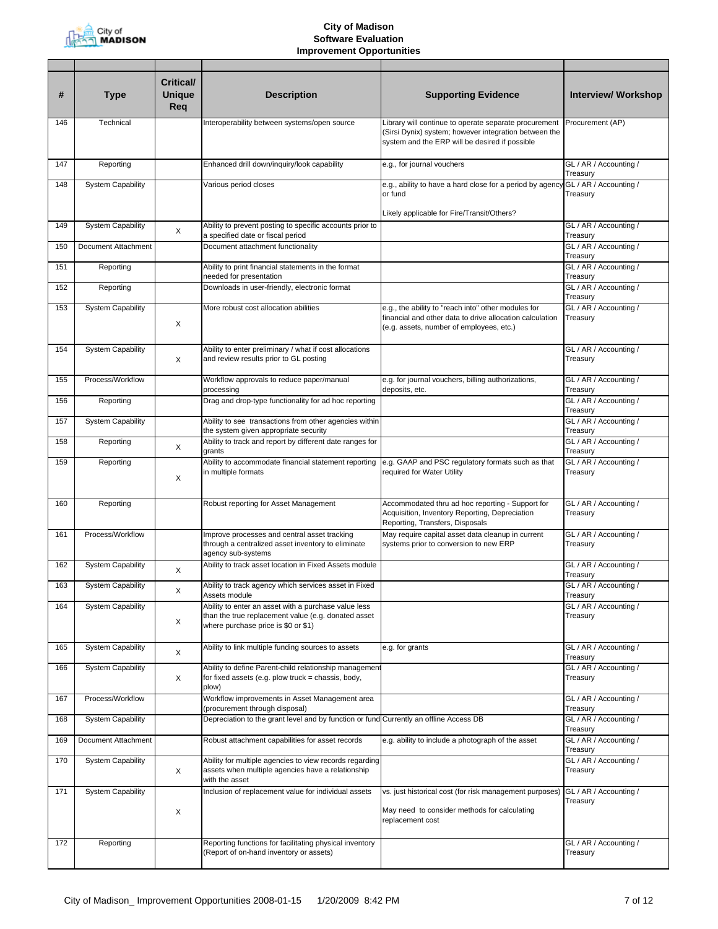

| #   | <b>Type</b>              | <b>Critical/</b><br><b>Unique</b><br>Req | <b>Description</b>                                                                                                                                 | <b>Supporting Evidence</b>                                                                                                                                       | <b>Interview/ Workshop</b>         |
|-----|--------------------------|------------------------------------------|----------------------------------------------------------------------------------------------------------------------------------------------------|------------------------------------------------------------------------------------------------------------------------------------------------------------------|------------------------------------|
| 146 | Technical                |                                          | Interoperability between systems/open source                                                                                                       | Library will continue to operate separate procurement<br>(Sirsi Dynix) system; however integration between the<br>system and the ERP will be desired if possible | Procurement (AP)                   |
| 147 | Reporting                |                                          | Enhanced drill down/inquiry/look capability                                                                                                        | e.g., for journal vouchers                                                                                                                                       | GL / AR / Accounting /<br>Treasury |
| 148 | System Capability        |                                          | Various period closes                                                                                                                              | e.g., ability to have a hard close for a period by agency<br>or fund<br>Likely applicable for Fire/Transit/Others?                                               | GL / AR / Accounting /<br>Treasury |
| 149 | <b>System Capability</b> | Χ                                        | Ability to prevent posting to specific accounts prior to<br>a specified date or fiscal period                                                      |                                                                                                                                                                  | GL / AR / Accounting /<br>Treasury |
| 150 | Document Attachment      |                                          | Document attachment functionality                                                                                                                  |                                                                                                                                                                  | GL / AR / Accounting /<br>Treasury |
| 151 | Reporting                |                                          | Ability to print financial statements in the format<br>needed for presentation                                                                     |                                                                                                                                                                  | GL / AR / Accounting /<br>Treasury |
| 152 | Reporting                |                                          | Downloads in user-friendly, electronic format                                                                                                      |                                                                                                                                                                  | GL / AR / Accounting /<br>Treasury |
| 153 | <b>System Capability</b> | X                                        | More robust cost allocation abilities                                                                                                              | e.g., the ability to "reach into" other modules for<br>financial and other data to drive allocation calculation<br>(e.g. assets, number of employees, etc.)      | GL / AR / Accounting /<br>Treasury |
| 154 | <b>System Capability</b> | Χ                                        | Ability to enter preliminary / what if cost allocations<br>and review results prior to GL posting                                                  |                                                                                                                                                                  | GL / AR / Accounting /<br>Treasury |
| 155 | Process/Workflow         |                                          | Workflow approvals to reduce paper/manual<br>processing                                                                                            | e.g. for journal vouchers, billing authorizations,<br>deposits, etc.                                                                                             | GL / AR / Accounting /<br>Treasury |
| 156 | Reporting                |                                          | Drag and drop-type functionality for ad hoc reporting                                                                                              |                                                                                                                                                                  | GL / AR / Accounting /<br>Treasury |
| 157 | <b>System Capability</b> |                                          | Ability to see transactions from other agencies within<br>the system given appropriate security                                                    |                                                                                                                                                                  | GL / AR / Accounting /<br>Treasury |
| 158 | Reporting                | X                                        | Ability to track and report by different date ranges for<br>grants                                                                                 |                                                                                                                                                                  | GL / AR / Accounting /<br>Treasury |
| 159 | Reporting                | X                                        | Ability to accommodate financial statement reporting<br>in multiple formats                                                                        | e.g. GAAP and PSC regulatory formats such as that<br>required for Water Utility                                                                                  | GL / AR / Accounting /<br>Treasury |
| 160 | Reporting                |                                          | Robust reporting for Asset Management                                                                                                              | Accommodated thru ad hoc reporting - Support for<br>Acquisition, Inventory Reporting, Depreciation<br>Reporting, Transfers, Disposals                            | GL / AR / Accounting /<br>Treasury |
| 161 | Process/Workflow         |                                          | Improve processes and central asset tracking<br>through a centralized asset inventory to eliminate<br>agency sub-systems                           | May require capital asset data cleanup in current<br>systems prior to conversion to new ERP                                                                      | GL / AR / Accounting /<br>Treasury |
| 162 | <b>System Capability</b> | X                                        | Ability to track asset location in Fixed Assets module                                                                                             |                                                                                                                                                                  | GL / AR / Accounting /<br>Treasury |
| 163 | System Capability        | Х                                        | Ability to track agency which services asset in Fixed<br>Assets module                                                                             |                                                                                                                                                                  | GL / AR / Accounting /<br>Treasury |
| 164 | <b>System Capability</b> | X                                        | Ability to enter an asset with a purchase value less<br>than the true replacement value (e.g. donated asset<br>where purchase price is \$0 or \$1) |                                                                                                                                                                  | GL / AR / Accounting /<br>Treasury |
| 165 | System Capability        | X                                        | Ability to link multiple funding sources to assets                                                                                                 | e.g. for grants                                                                                                                                                  | GL / AR / Accounting /<br>Treasury |
| 166 | <b>System Capability</b> | X                                        | Ability to define Parent-child relationship managemen<br>for fixed assets (e.g. plow truck = chassis, body,<br>plow)                               |                                                                                                                                                                  | GL / AR / Accounting /<br>Treasury |
| 167 | Process/Workflow         |                                          | Workflow improvements in Asset Management area<br>(procurement through disposal)                                                                   |                                                                                                                                                                  | GL / AR / Accounting /<br>Treasury |
| 168 | <b>System Capability</b> |                                          | Depreciation to the grant level and by function or fund Currently an offline Access DB                                                             |                                                                                                                                                                  | GL / AR / Accounting /<br>Treasury |
| 169 | Document Attachment      |                                          | Robust attachment capabilities for asset records                                                                                                   | e.g. ability to include a photograph of the asset                                                                                                                | GL / AR / Accounting /<br>Treasury |
| 170 | <b>System Capability</b> | Χ                                        | Ability for multiple agencies to view records regarding<br>assets when multiple agencies have a relationship<br>with the asset                     |                                                                                                                                                                  | GL / AR / Accounting /<br>Treasury |
| 171 | <b>System Capability</b> |                                          | Inclusion of replacement value for individual assets                                                                                               | vs. just historical cost (for risk management purposes)                                                                                                          | GL / AR / Accounting /<br>Treasury |
|     |                          | X                                        |                                                                                                                                                    | May need to consider methods for calculating<br>replacement cost                                                                                                 |                                    |
| 172 | Reporting                |                                          | Reporting functions for facilitating physical inventory<br>(Report of on-hand inventory or assets)                                                 |                                                                                                                                                                  | GL / AR / Accounting /<br>Treasury |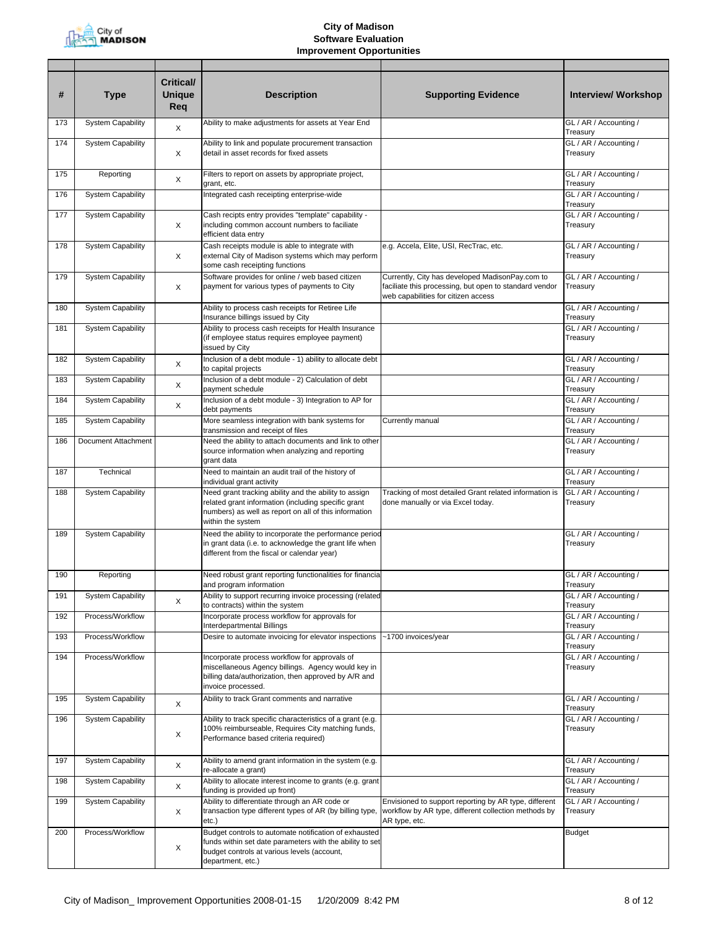

| #   | <b>Type</b>              | <b>Critical/</b><br><b>Unique</b><br>Req | <b>Description</b>                                                                                                                                                                         | <b>Supporting Evidence</b>                                                                                                                       | <b>Interview/ Workshop</b>                 |
|-----|--------------------------|------------------------------------------|--------------------------------------------------------------------------------------------------------------------------------------------------------------------------------------------|--------------------------------------------------------------------------------------------------------------------------------------------------|--------------------------------------------|
| 173 | <b>System Capability</b> | X                                        | Ability to make adjustments for assets at Year End                                                                                                                                         |                                                                                                                                                  | GL / AR / Accounting /<br>Treasury         |
| 174 | <b>System Capability</b> | X                                        | Ability to link and populate procurement transaction<br>detail in asset records for fixed assets                                                                                           |                                                                                                                                                  | GL / AR / Accounting /<br>Treasury         |
| 175 | Reporting                | X                                        | Filters to report on assets by appropriate project,<br>grant, etc.                                                                                                                         |                                                                                                                                                  | GL / AR / Accounting /<br>Treasury         |
| 176 | <b>System Capability</b> |                                          | Integrated cash receipting enterprise-wide                                                                                                                                                 |                                                                                                                                                  | GL / AR / Accounting /<br>Treasury         |
| 177 | <b>System Capability</b> | X                                        | Cash recipts entry provides "template" capability -<br>including common account numbers to faciliate<br>efficient data entry                                                               |                                                                                                                                                  | GL / AR / Accounting /<br>Treasury         |
| 178 | <b>System Capability</b> | X                                        | Cash receipts module is able to integrate with<br>external City of Madison systems which may perform<br>some cash receipting functions                                                     | e.g. Accela, Elite, USI, RecTrac, etc.                                                                                                           | GL / AR / Accounting /<br>Treasury         |
| 179 | <b>System Capability</b> | X                                        | Software provides for online / web based citizen<br>payment for various types of payments to City                                                                                          | Currently, City has developed MadisonPay.com to<br>faciliate this processing, but open to standard vendor<br>web capabilities for citizen access | GL / AR / Accounting /<br>Treasury         |
| 180 | <b>System Capability</b> |                                          | Ability to process cash receipts for Retiree Life<br>Insurance billings issued by City                                                                                                     |                                                                                                                                                  | GL / AR / Accounting /<br>Treasury         |
| 181 | <b>System Capability</b> |                                          | Ability to process cash receipts for Health Insurance<br>(if employee status requires employee payment)<br>issued by City                                                                  |                                                                                                                                                  | GL / AR / Accounting /<br>Treasury         |
| 182 | <b>System Capability</b> | X                                        | Inclusion of a debt module - 1) ability to allocate debt<br>to capital projects                                                                                                            |                                                                                                                                                  | GL / AR / Accounting /<br>Treasury         |
| 183 | <b>System Capability</b> | X                                        | Inclusion of a debt module - 2) Calculation of debt<br>payment schedule                                                                                                                    |                                                                                                                                                  | GL / AR / Accounting /<br>Treasury         |
| 184 | <b>System Capability</b> | X                                        | Inclusion of a debt module - 3) Integration to AP for<br>debt payments                                                                                                                     |                                                                                                                                                  | GL / AR / Accounting /<br>Treasury         |
| 185 | <b>System Capability</b> |                                          | More seamless integration with bank systems for<br>transmission and receipt of files                                                                                                       | Currently manual                                                                                                                                 | GL / AR / Accounting /<br>Treasury         |
| 186 | Document Attachment      |                                          | Need the ability to attach documents and link to other<br>source information when analyzing and reporting<br>grant data                                                                    |                                                                                                                                                  | GL / AR / Accounting /<br>Treasury         |
| 187 | Technical                |                                          | Need to maintain an audit trail of the history of<br>individual grant activity                                                                                                             |                                                                                                                                                  | GL / AR / Accounting /<br>Treasury         |
| 188 | <b>System Capability</b> |                                          | Need grant tracking ability and the ability to assign<br>related grant information (including specific grant<br>numbers) as well as report on all of this information<br>within the system | Tracking of most detailed Grant related information is<br>done manually or via Excel today.                                                      | GL / AR / Accounting /<br>Treasury         |
| 189 | <b>System Capability</b> |                                          | Need the ability to incorporate the performance period<br>in grant data (i.e. to acknowledge the grant life when<br>different from the fiscal or calendar year)                            |                                                                                                                                                  | GL / AR / Accounting /<br>Treasury         |
| 190 | Reporting                |                                          | Need robust grant reporting functionalities for financia<br>and program information                                                                                                        |                                                                                                                                                  | GL / AR / Accounting /<br><i>i</i> reasury |
| 191 | <b>System Capability</b> | X                                        | Ability to support recurring invoice processing (related<br>to contracts) within the system                                                                                                |                                                                                                                                                  | GL / AR / Accounting /<br>Treasury         |
| 192 | Process/Workflow         |                                          | Incorporate process workflow for approvals for<br>Interdepartmental Billings                                                                                                               |                                                                                                                                                  | GL / AR / Accounting /<br>Treasury         |
| 193 | Process/Workflow         |                                          | Desire to automate invoicing for elevator inspections                                                                                                                                      | ~1700 invoices/year                                                                                                                              | GL / AR / Accounting /<br>Treasury         |
| 194 | Process/Workflow         |                                          | Incorporate process workflow for approvals of<br>miscellaneous Agency billings. Agency would key in<br>billing data/authorization, then approved by A/R and<br>invoice processed.          |                                                                                                                                                  | GL / AR / Accounting /<br>Treasury         |
| 195 | <b>System Capability</b> | X                                        | Ability to track Grant comments and narrative                                                                                                                                              |                                                                                                                                                  | GL / AR / Accounting /<br>Treasury         |
| 196 | <b>System Capability</b> | X                                        | Ability to track specific characteristics of a grant (e.g.<br>100% reimburseable, Requires City matching funds,<br>Performance based criteria required)                                    |                                                                                                                                                  | GL / AR / Accounting /<br>Treasury         |
| 197 | <b>System Capability</b> | X                                        | Ability to amend grant information in the system (e.g.<br>re-allocate a grant)                                                                                                             |                                                                                                                                                  | GL / AR / Accounting /<br>Treasury         |
| 198 | <b>System Capability</b> | X                                        | Ability to allocate interest income to grants (e.g. grant<br>funding is provided up front)                                                                                                 |                                                                                                                                                  | GL / AR / Accounting /<br>Treasury         |
| 199 | <b>System Capability</b> | X                                        | Ability to differentiate through an AR code or<br>transaction type different types of AR (by billing type,<br>etc.)                                                                        | Envisioned to support reporting by AR type, different<br>workflow by AR type, different collection methods by<br>AR type, etc.                   | GL / AR / Accounting /<br>Treasury         |
| 200 | Process/Workflow         | X                                        | Budget controls to automate notification of exhausted<br>funds within set date parameters with the ability to set<br>budget controls at various levels (account,<br>department, etc.)      |                                                                                                                                                  | <b>Budget</b>                              |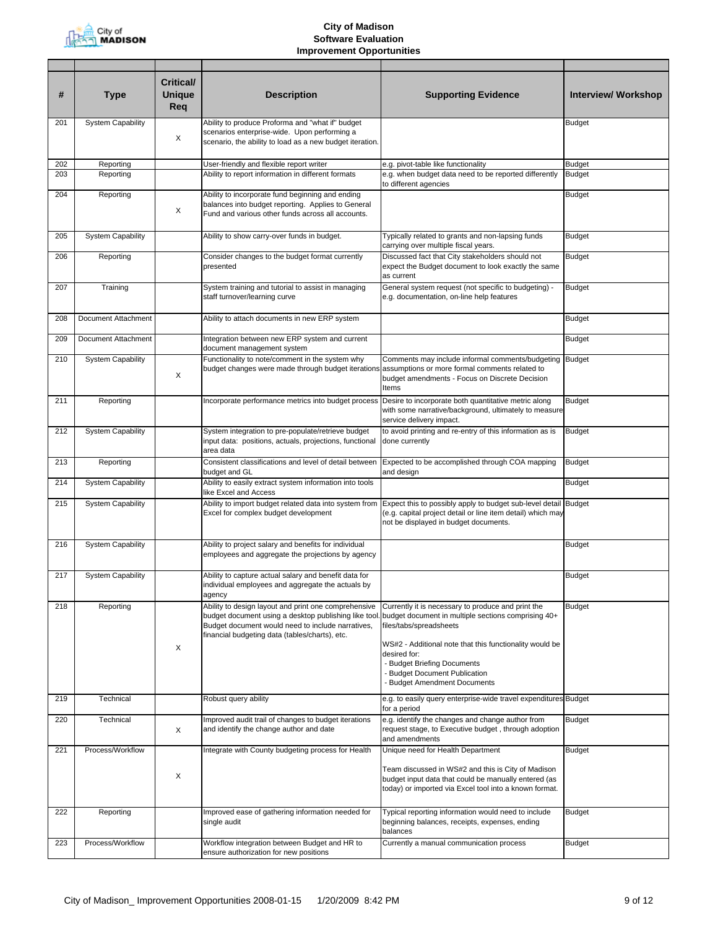

| #   | <b>Type</b>              | Critical/<br><b>Unique</b><br>Req | <b>Description</b>                                                                                                                                                                                                   | <b>Supporting Evidence</b>                                                                                                                                                                                                                                                                                      | <b>Interview/ Workshop</b> |
|-----|--------------------------|-----------------------------------|----------------------------------------------------------------------------------------------------------------------------------------------------------------------------------------------------------------------|-----------------------------------------------------------------------------------------------------------------------------------------------------------------------------------------------------------------------------------------------------------------------------------------------------------------|----------------------------|
| 201 | <b>System Capability</b> | Х                                 | Ability to produce Proforma and "what if" budget<br>scenarios enterprise-wide. Upon performing a<br>scenario, the ability to load as a new budget iteration.                                                         |                                                                                                                                                                                                                                                                                                                 | <b>Budget</b>              |
| 202 | Reporting                |                                   | User-friendly and flexible report writer                                                                                                                                                                             | e.g. pivot-table like functionality                                                                                                                                                                                                                                                                             | <b>Budget</b>              |
| 203 | Reporting                |                                   | Ability to report information in different formats                                                                                                                                                                   | e.g. when budget data need to be reported differently<br>to different agencies                                                                                                                                                                                                                                  | <b>Budget</b>              |
| 204 | Reporting                | X                                 | Ability to incorporate fund beginning and ending<br>balances into budget reporting. Applies to General<br>Fund and various other funds across all accounts.                                                          |                                                                                                                                                                                                                                                                                                                 | <b>Budget</b>              |
| 205 | <b>System Capability</b> |                                   | Ability to show carry-over funds in budget.                                                                                                                                                                          | Typically related to grants and non-lapsing funds<br>carrying over multiple fiscal years.                                                                                                                                                                                                                       | <b>Budget</b>              |
| 206 | Reporting                |                                   | Consider changes to the budget format currently<br>presented                                                                                                                                                         | Discussed fact that City stakeholders should not<br>expect the Budget document to look exactly the same<br>as current                                                                                                                                                                                           | <b>Budget</b>              |
| 207 | Training                 |                                   | System training and tutorial to assist in managing<br>staff turnover/learning curve                                                                                                                                  | General system request (not specific to budgeting) -<br>e.g. documentation, on-line help features                                                                                                                                                                                                               | <b>Budget</b>              |
| 208 | Document Attachment      |                                   | Ability to attach documents in new ERP system                                                                                                                                                                        |                                                                                                                                                                                                                                                                                                                 | <b>Budget</b>              |
| 209 | Document Attachment      |                                   | Integration between new ERP system and current<br>document management system                                                                                                                                         |                                                                                                                                                                                                                                                                                                                 | <b>Budget</b>              |
| 210 | <b>System Capability</b> | X                                 | Functionality to note/comment in the system why<br>budget changes were made through budget iterations                                                                                                                | Comments may include informal comments/budgeting<br>assumptions or more formal comments related to<br>budget amendments - Focus on Discrete Decision<br>Items                                                                                                                                                   | <b>Budget</b>              |
| 211 | Reporting                |                                   | Incorporate performance metrics into budget process                                                                                                                                                                  | Desire to incorporate both quantitative metric along<br>with some narrative/background, ultimately to measure<br>service delivery impact.                                                                                                                                                                       | <b>Budget</b>              |
| 212 | <b>System Capability</b> |                                   | System integration to pre-populate/retrieve budget<br>input data: positions, actuals, projections, functional<br>area data                                                                                           | to avoid printing and re-entry of this information as is<br>done currently                                                                                                                                                                                                                                      | <b>Budget</b>              |
| 213 | Reporting                |                                   | Consistent classifications and level of detail between<br>budget and GL                                                                                                                                              | Expected to be accomplished through COA mapping<br>and design                                                                                                                                                                                                                                                   | <b>Budget</b>              |
| 214 | <b>System Capability</b> |                                   | Ability to easily extract system information into tools<br>like Excel and Access                                                                                                                                     |                                                                                                                                                                                                                                                                                                                 | <b>Budget</b>              |
| 215 | <b>System Capability</b> |                                   | Ability to import budget related data into system from<br>Excel for complex budget development                                                                                                                       | Expect this to possibly apply to budget sub-level detail Budget<br>(e.g. capital project detail or line item detail) which may<br>not be displayed in budget documents.                                                                                                                                         |                            |
| 216 | System Capability        |                                   | Ability to project salary and benefits for individual<br>employees and aggregate the projections by agency                                                                                                           |                                                                                                                                                                                                                                                                                                                 | <b>Budget</b>              |
| 217 | <b>System Capability</b> |                                   | Ability to capture actual salary and benefit data for<br>individual employees and aggregate the actuals by<br>agency                                                                                                 |                                                                                                                                                                                                                                                                                                                 | <b>Budget</b>              |
| 218 | Reporting                | X                                 | Ability to design layout and print one comprehensive<br>budget document using a desktop publishing like tool.<br>Budget document would need to include narratives,<br>financial budgeting data (tables/charts), etc. | Currently it is necessary to produce and print the<br>budget document in multiple sections comprising 40+<br>files/tabs/spreadsheets<br>WS#2 - Additional note that this functionality would be<br>desired for:<br>- Budget Briefing Documents<br>- Budget Document Publication<br>- Budget Amendment Documents | <b>Budget</b>              |
| 219 | Technical                |                                   | Robust query ability                                                                                                                                                                                                 | e.g. to easily query enterprise-wide travel expenditures Budget<br>for a period                                                                                                                                                                                                                                 |                            |
| 220 | Technical                | Χ                                 | Improved audit trail of changes to budget iterations<br>and identify the change author and date                                                                                                                      | e.g. identify the changes and change author from<br>request stage, to Executive budget, through adoption<br>and amendments                                                                                                                                                                                      | <b>Budget</b>              |
| 221 | Process/Workflow         | X                                 | Integrate with County budgeting process for Health                                                                                                                                                                   | Unique need for Health Department<br>Team discussed in WS#2 and this is City of Madison<br>budget input data that could be manually entered (as<br>today) or imported via Excel tool into a known format.                                                                                                       | <b>Budget</b>              |
| 222 | Reporting                |                                   | Improved ease of gathering information needed for<br>single audit                                                                                                                                                    | Typical reporting information would need to include<br>beginning balances, receipts, expenses, ending<br>balances                                                                                                                                                                                               | <b>Budget</b>              |
| 223 | Process/Workflow         |                                   | Workflow integration between Budget and HR to<br>ensure authorization for new positions                                                                                                                              | Currently a manual communication process                                                                                                                                                                                                                                                                        | Budget                     |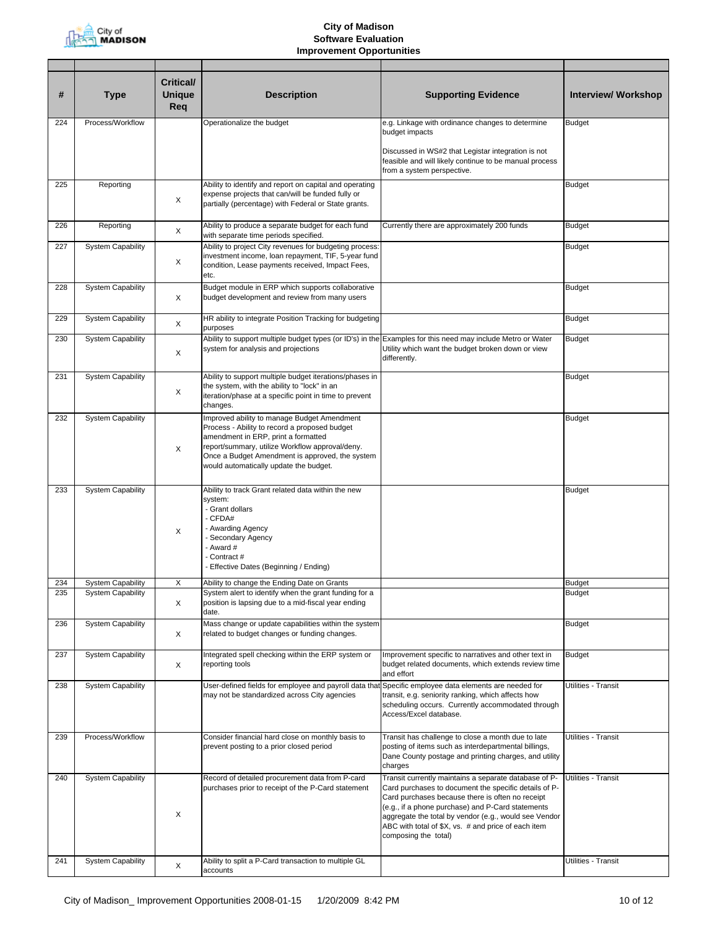

| #   | <b>Type</b>              | <b>Critical/</b><br><b>Unique</b><br>Req | <b>Description</b>                                                                                                                                                                                                                                                                  | <b>Supporting Evidence</b>                                                                                                                                                                                                                                                                                                                                      | <b>Interview/ Workshop</b> |
|-----|--------------------------|------------------------------------------|-------------------------------------------------------------------------------------------------------------------------------------------------------------------------------------------------------------------------------------------------------------------------------------|-----------------------------------------------------------------------------------------------------------------------------------------------------------------------------------------------------------------------------------------------------------------------------------------------------------------------------------------------------------------|----------------------------|
| 224 | Process/Workflow         |                                          | Operationalize the budget                                                                                                                                                                                                                                                           | e.g. Linkage with ordinance changes to determine<br>budget impacts                                                                                                                                                                                                                                                                                              | <b>Budget</b>              |
|     |                          |                                          |                                                                                                                                                                                                                                                                                     | Discussed in WS#2 that Legistar integration is not<br>feasible and will likely continue to be manual process<br>from a system perspective.                                                                                                                                                                                                                      |                            |
| 225 | Reporting                | X                                        | Ability to identify and report on capital and operating<br>expense projects that can/will be funded fully or<br>partially (percentage) with Federal or State grants.                                                                                                                |                                                                                                                                                                                                                                                                                                                                                                 | <b>Budget</b>              |
| 226 | Reporting                | X                                        | Ability to produce a separate budget for each fund<br>with separate time periods specified.                                                                                                                                                                                         | Currently there are approximately 200 funds                                                                                                                                                                                                                                                                                                                     | <b>Budget</b>              |
| 227 | System Capability        | X                                        | Ability to project City revenues for budgeting process:<br>investment income, loan repayment, TIF, 5-year fund<br>condition, Lease payments received, Impact Fees,<br>etc.                                                                                                          |                                                                                                                                                                                                                                                                                                                                                                 | <b>Budget</b>              |
| 228 | <b>System Capability</b> | X                                        | Budget module in ERP which supports collaborative<br>budget development and review from many users                                                                                                                                                                                  |                                                                                                                                                                                                                                                                                                                                                                 | <b>Budget</b>              |
| 229 | <b>System Capability</b> | X                                        | HR ability to integrate Position Tracking for budgeting<br>purposes                                                                                                                                                                                                                 |                                                                                                                                                                                                                                                                                                                                                                 | <b>Budget</b>              |
| 230 | <b>System Capability</b> | X                                        | Ability to support multiple budget types (or ID's) in the<br>system for analysis and projections                                                                                                                                                                                    | Examples for this need may include Metro or Water<br>Utility which want the budget broken down or view<br>differently.                                                                                                                                                                                                                                          | <b>Budget</b>              |
| 231 | <b>System Capability</b> | X                                        | Ability to support multiple budget iterations/phases in<br>the system, with the ability to "lock" in an<br>iteration/phase at a specific point in time to prevent<br>changes.                                                                                                       |                                                                                                                                                                                                                                                                                                                                                                 | <b>Budget</b>              |
| 232 | <b>System Capability</b> | X                                        | Improved ability to manage Budget Amendment<br>Process - Ability to record a proposed budget<br>amendment in ERP, print a formatted<br>report/summary, utilize Workflow approval/deny.<br>Once a Budget Amendment is approved, the system<br>would automatically update the budget. |                                                                                                                                                                                                                                                                                                                                                                 | <b>Budget</b>              |
| 233 | <b>System Capability</b> | X                                        | Ability to track Grant related data within the new<br>system:<br>- Grant dollars<br>- CFDA#<br>- Awarding Agency<br>- Secondary Agency<br>- Award #<br>- Contract #<br>- Effective Dates (Beginning / Ending)                                                                       |                                                                                                                                                                                                                                                                                                                                                                 | <b>Budget</b>              |
| 234 | <b>System Capability</b> | Χ                                        | Ability to change the Ending Date on Grants                                                                                                                                                                                                                                         |                                                                                                                                                                                                                                                                                                                                                                 | <b>Budget</b>              |
| 235 | <b>System Capability</b> | X                                        | System alert to identify when the grant funding for a<br>position is lapsing due to a mid-fiscal year ending<br>date.                                                                                                                                                               |                                                                                                                                                                                                                                                                                                                                                                 | <b>Budget</b>              |
| 236 | <b>System Capability</b> | X                                        | Mass change or update capabilities within the system<br>related to budget changes or funding changes.                                                                                                                                                                               |                                                                                                                                                                                                                                                                                                                                                                 | <b>Budget</b>              |
| 237 | <b>System Capability</b> | X                                        | Integrated spell checking within the ERP system or<br>reporting tools                                                                                                                                                                                                               | Improvement specific to narratives and other text in<br>budget related documents, which extends review time<br>and effort                                                                                                                                                                                                                                       | <b>Budget</b>              |
| 238 | <b>System Capability</b> |                                          | User-defined fields for employee and payroll data that<br>may not be standardized across City agencies                                                                                                                                                                              | Specific employee data elements are needed for<br>transit, e.g. seniority ranking, which affects how<br>scheduling occurs. Currently accommodated through<br>Access/Excel database.                                                                                                                                                                             | Utilities - Transit        |
| 239 | Process/Workflow         |                                          | Consider financial hard close on monthly basis to<br>prevent posting to a prior closed period                                                                                                                                                                                       | Transit has challenge to close a month due to late<br>posting of items such as interdepartmental billings,<br>Dane County postage and printing charges, and utility<br>charges                                                                                                                                                                                  | Utilities - Transit        |
| 240 | <b>System Capability</b> | Χ                                        | Record of detailed procurement data from P-card<br>purchases prior to receipt of the P-Card statement                                                                                                                                                                               | Transit currently maintains a separate database of P-<br>Card purchases to document the specific details of P-<br>Card purchases because there is often no receipt<br>(e.g., if a phone purchase) and P-Card statements<br>aggregate the total by vendor (e.g., would see Vendor<br>ABC with total of \$X, vs. # and price of each item<br>composing the total) | Utilities - Transit        |
| 241 | <b>System Capability</b> | X                                        | Ability to split a P-Card transaction to multiple GL                                                                                                                                                                                                                                |                                                                                                                                                                                                                                                                                                                                                                 | Utilities - Transit        |
|     |                          |                                          | accounts                                                                                                                                                                                                                                                                            |                                                                                                                                                                                                                                                                                                                                                                 |                            |

L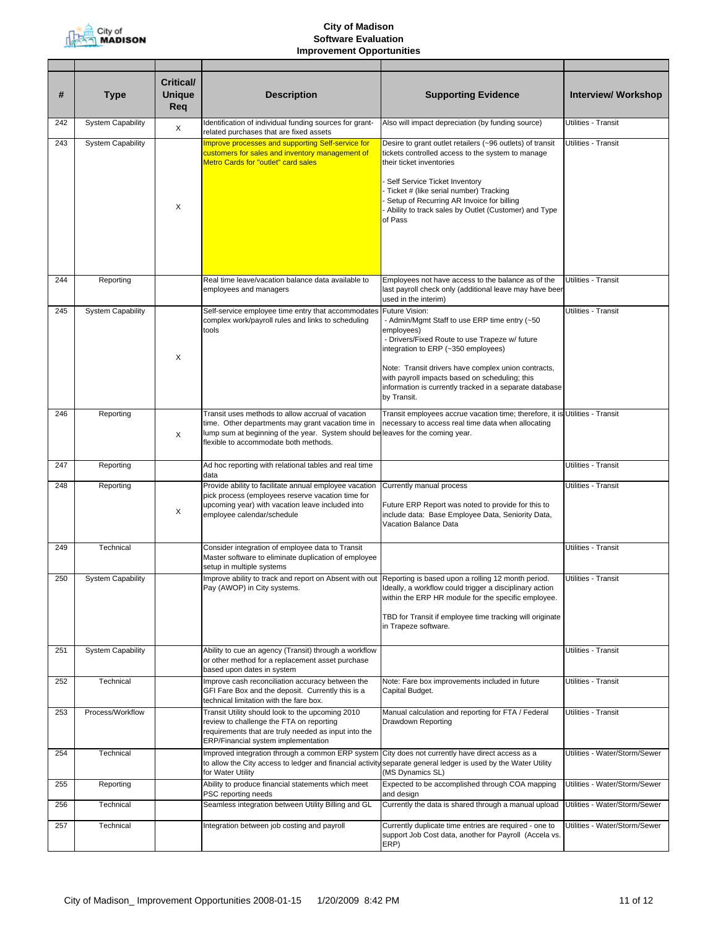

| #   | <b>Type</b>              | <b>Critical/</b><br><b>Unique</b><br>Req | <b>Description</b>                                                                                                                                                                                                                 | <b>Supporting Evidence</b>                                                                                                                                                                                                                                                                                                                                | <b>Interview/ Workshop</b>    |
|-----|--------------------------|------------------------------------------|------------------------------------------------------------------------------------------------------------------------------------------------------------------------------------------------------------------------------------|-----------------------------------------------------------------------------------------------------------------------------------------------------------------------------------------------------------------------------------------------------------------------------------------------------------------------------------------------------------|-------------------------------|
| 242 | <b>System Capability</b> | X                                        | Identification of individual funding sources for grant-<br>related purchases that are fixed assets                                                                                                                                 | Also will impact depreciation (by funding source)                                                                                                                                                                                                                                                                                                         | Utilities - Transit           |
| 243 | <b>System Capability</b> | X                                        | <b>Improve processes and supporting Self-service for</b><br>customers for sales and inventory management of<br>Metro Cards for "outlet" card sales                                                                                 | Desire to grant outlet retailers (~96 outlets) of transit<br>tickets controlled access to the system to manage<br>their ticket inventories<br>Self Service Ticket Inventory<br>- Ticket # (like serial number) Tracking<br>Setup of Recurring AR Invoice for billing<br>- Ability to track sales by Outlet (Customer) and Type<br>of Pass                 | Utilities - Transit           |
| 244 | Reporting                |                                          | Real time leave/vacation balance data available to<br>employees and managers                                                                                                                                                       | Employees not have access to the balance as of the<br>last payroll check only (additional leave may have beer<br>used in the interim)                                                                                                                                                                                                                     | Utilities - Transit           |
| 245 | <b>System Capability</b> | X                                        | Self-service employee time entry that accommodates<br>complex work/payroll rules and links to scheduling<br>tools                                                                                                                  | Future Vision:<br>- Admin/Mgmt Staff to use ERP time entry (~50<br>employees)<br>- Drivers/Fixed Route to use Trapeze w/ future<br>integration to ERP (~350 employees)<br>Note: Transit drivers have complex union contracts,<br>with payroll impacts based on scheduling; this<br>information is currently tracked in a separate database<br>by Transit. | Utilities - Transit           |
| 246 | Reporting                | X                                        | Transit uses methods to allow accrual of vacation<br>time. Other departments may grant vacation time in<br>lump sum at beginning of the year. System should beleaves for the coming year.<br>flexible to accommodate both methods. | Transit employees accrue vacation time; therefore, it is Utilities - Transit<br>necessary to access real time data when allocating                                                                                                                                                                                                                        |                               |
| 247 | Reporting                |                                          | Ad hoc reporting with relational tables and real time<br>data                                                                                                                                                                      |                                                                                                                                                                                                                                                                                                                                                           | Utilities - Transit           |
| 248 | Reporting                | X                                        | Provide ability to facilitate annual employee vacation<br>pick process (employees reserve vacation time for<br>upcoming year) with vacation leave included into<br>employee calendar/schedule                                      | Currently manual process<br>Future ERP Report was noted to provide for this to<br>include data: Base Employee Data, Seniority Data,<br>Vacation Balance Data                                                                                                                                                                                              | Utilities - Transit           |
| 249 | Technical                |                                          | Consider integration of employee data to Transit<br>Master software to eliminate duplication of employee<br>setup in multiple systems                                                                                              |                                                                                                                                                                                                                                                                                                                                                           | Utilities - Transit           |
| 250 | <b>System Capability</b> |                                          | Improve ability to track and report on Absent with out Reporting is based upon a rolling 12 month period.<br>Pay (AWOP) in City systems.                                                                                           | Ideally, a workflow could trigger a disciplinary action<br>within the ERP HR module for the specific employee.<br>TBD for Transit if employee time tracking will originate<br>in Trapeze software.                                                                                                                                                        | Utilities - Transit           |
| 251 | <b>System Capability</b> |                                          | Ability to cue an agency (Transit) through a workflow<br>or other method for a replacement asset purchase<br>based upon dates in system                                                                                            |                                                                                                                                                                                                                                                                                                                                                           | Utilities - Transit           |
| 252 | Technical                |                                          | Improve cash reconciliation accuracy between the<br>GFI Fare Box and the deposit. Currently this is a<br>technical limitation with the fare box.                                                                                   | Note: Fare box improvements included in future<br>Capital Budget.                                                                                                                                                                                                                                                                                         | Utilities - Transit           |
| 253 | Process/Workflow         |                                          | Transit Utility should look to the upcoming 2010<br>review to challenge the FTA on reporting<br>requirements that are truly needed as input into the<br>ERP/Financial system implementation                                        | Manual calculation and reporting for FTA / Federal<br>Drawdown Reporting                                                                                                                                                                                                                                                                                  | Utilities - Transit           |
| 254 | Technical                |                                          | Improved integration through a common ERP system<br>to allow the City access to ledger and financial activity<br>for Water Utility                                                                                                 | City does not currently have direct access as a<br>separate general ledger is used by the Water Utility<br>(MS Dynamics SL)                                                                                                                                                                                                                               | Utilities - Water/Storm/Sewer |
| 255 | Reporting                |                                          | Ability to produce financial statements which meet<br>PSC reporting needs                                                                                                                                                          | Expected to be accomplished through COA mapping<br>and design                                                                                                                                                                                                                                                                                             | Utilities - Water/Storm/Sewer |
| 256 | Technical                |                                          | Seamless integration between Utility Billing and GL                                                                                                                                                                                | Currently the data is shared through a manual upload                                                                                                                                                                                                                                                                                                      | Utilities - Water/Storm/Sewer |
| 257 | Technical                |                                          | Integration between job costing and payroll                                                                                                                                                                                        | Currently duplicate time entries are required - one to<br>support Job Cost data, another for Payroll (Accela vs.<br>ERP)                                                                                                                                                                                                                                  | Utilities - Water/Storm/Sewer |